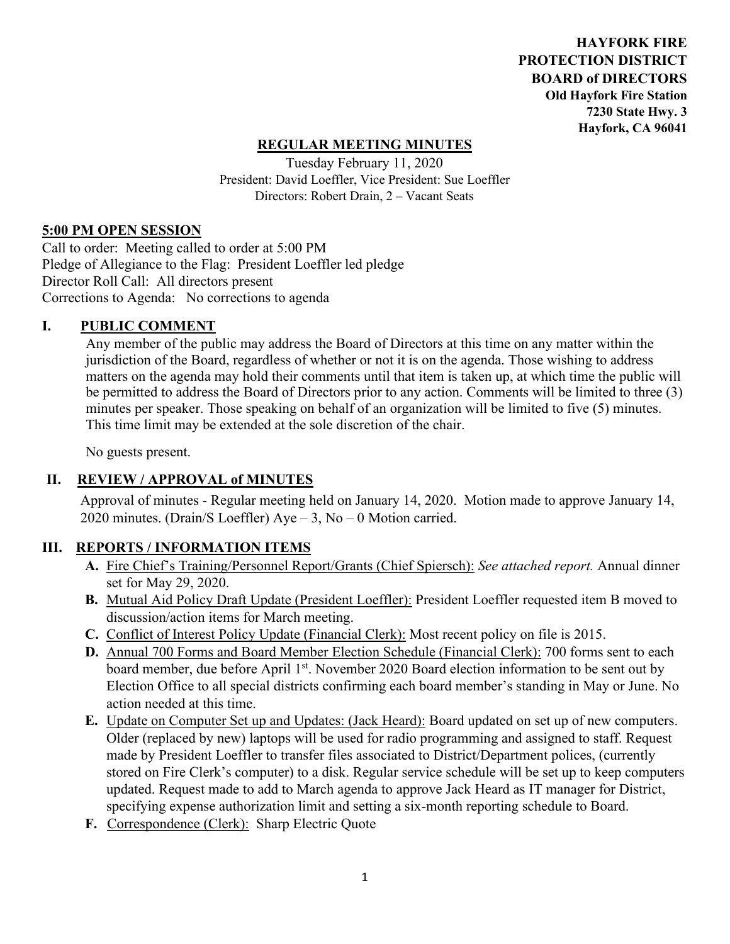**HAYFORK FIRE PROTECTION DISTRICT BOARD of DIRECTORS Old Hayfork Fire Station 7230 State Hwy. 3 Hayfork, CA 96041** 

# **REGULAR MEETING MINUTES**

Tuesday February 11, 2020 President: David Loeffler, Vice President: Sue Loeffler Directors: Robert Drain, 2 – Vacant Seats

### **5:00 PM OPEN SESSION**

Call to order: Meeting called to order at 5:00 PM Pledge of Allegiance to the Flag: President Loeffler led pledge Director Roll Call: All directors present Corrections to Agenda: No corrections to agenda

### **I. PUBLIC COMMENT**

Any member of the public may address the Board of Directors at this time on any matter within the jurisdiction of the Board, regardless of whether or not it is on the agenda. Those wishing to address matters on the agenda may hold their comments until that item is taken up, at which time the public will be permitted to address the Board of Directors prior to any action. Comments will be limited to three (3) minutes per speaker. Those speaking on behalf of an organization will be limited to five (5) minutes. This time limit may be extended at the sole discretion of the chair.

No guests present.

# **II. REVIEW / APPROVAL of MINUTES**

 Approval of minutes - Regular meeting held on January 14, 2020. Motion made to approve January 14, 2020 minutes. (Drain/S Loeffler) Aye – 3, No – 0 Motion carried.

## **III. REPORTS / INFORMATION ITEMS**

- **A.** Fire Chief's Training/Personnel Report/Grants (Chief Spiersch): *See attached report.* Annual dinner set for May 29, 2020.
- **B.** Mutual Aid Policy Draft Update (President Loeffler): President Loeffler requested item B moved to discussion/action items for March meeting.
- **C.** Conflict of Interest Policy Update (Financial Clerk): Most recent policy on file is 2015.
- **D.** Annual 700 Forms and Board Member Election Schedule (Financial Clerk): 700 forms sent to each board member, due before April 1<sup>st</sup>. November 2020 Board election information to be sent out by Election Office to all special districts confirming each board member's standing in May or June. No action needed at this time.
- **E.** Update on Computer Set up and Updates: (Jack Heard): Board updated on set up of new computers. Older (replaced by new) laptops will be used for radio programming and assigned to staff. Request made by President Loeffler to transfer files associated to District/Department polices, (currently stored on Fire Clerk's computer) to a disk. Regular service schedule will be set up to keep computers updated. Request made to add to March agenda to approve Jack Heard as IT manager for District, specifying expense authorization limit and setting a six-month reporting schedule to Board.
- **F.** Correspondence (Clerk): Sharp Electric Quote